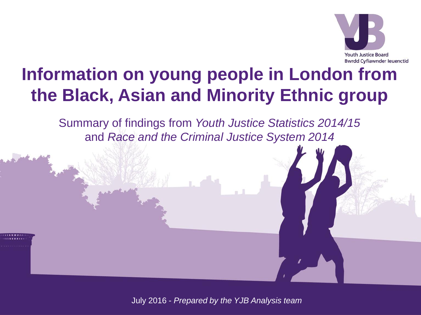

### **Information on young people in London from the Black, Asian and Minority Ethnic group**

Summary of findings from *Youth Justice Statistics 2014/15* and *Race and the Criminal Justice System 2014*

July 2016 - *Prepared by the YJB Analysis team*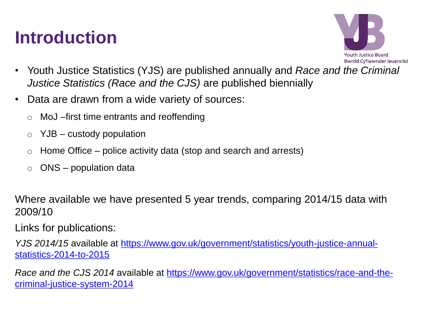### **Introduction**



- Youth Justice Statistics (YJS) are published annually and *Race and the Criminal Justice Statistics (Race and the CJS)* are published biennially
- Data are drawn from a wide variety of sources:
	- o MoJ –first time entrants and reoffending
	- $YJB -$  custody population
	- Home Office police activity data (stop and search and arrests)
	- o ONS population data

Where available we have presented 5 year trends, comparing 2014/15 data with 2009/10

Links for publications:

*YJS 2014/15* available at [https://www.gov.uk/government/statistics/youth-justice-annual](https://www.gov.uk/government/statistics/youth-justice-annual-statistics-2014-to-2015)[statistics-2014-to-2015](https://www.gov.uk/government/statistics/youth-justice-annual-statistics-2014-to-2015)

*Race and the CJS 2014* available at [https://www.gov.uk/government/statistics/race-and-the](https://www.gov.uk/government/statistics/race-and-the-criminal-justice-system-2014)[criminal-justice-system-2014](https://www.gov.uk/government/statistics/race-and-the-criminal-justice-system-2014)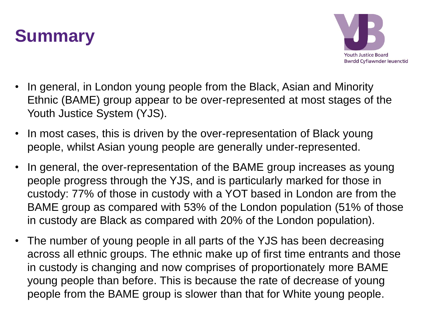



- In general, in London young people from the Black, Asian and Minority Ethnic (BAME) group appear to be over-represented at most stages of the Youth Justice System (YJS).
- In most cases, this is driven by the over-representation of Black young people, whilst Asian young people are generally under-represented.
- In general, the over-representation of the BAME group increases as young people progress through the YJS, and is particularly marked for those in custody: 77% of those in custody with a YOT based in London are from the BAME group as compared with 53% of the London population (51% of those in custody are Black as compared with 20% of the London population).
- The number of young people in all parts of the YJS has been decreasing across all ethnic groups. The ethnic make up of first time entrants and those in custody is changing and now comprises of proportionately more BAME young people than before. This is because the rate of decrease of young people from the BAME group is slower than that for White young people.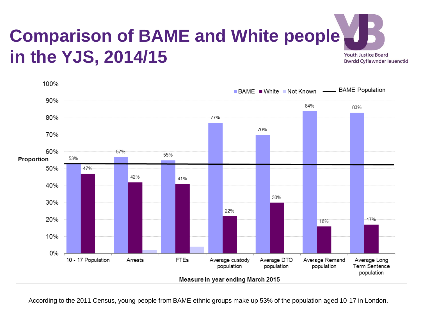#### **Comparison of BAME and White people in the YJS, 2014/15 Youth Justice Board Bwrdd Cyfiawnder Ieuenctid**



According to the 2011 Census, young people from BAME ethnic groups make up 53% of the population aged 10-17 in London.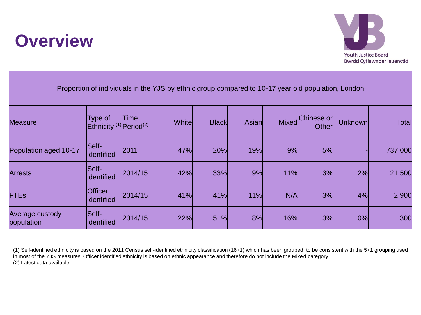



| Proportion of individuals in the YJS by ethnic group compared to 10-17 year old population, London |                                                           |         |        |              |       |              |                     |         |              |
|----------------------------------------------------------------------------------------------------|-----------------------------------------------------------|---------|--------|--------------|-------|--------------|---------------------|---------|--------------|
| <b>Measure</b>                                                                                     | Type of<br>Ethnicity <sup>(1)</sup> Period <sup>(2)</sup> | Time    | Whitel | <b>Black</b> | Asian | <b>Mixed</b> | Chinese or<br>Other | Unknown | <b>Total</b> |
| Population aged 10-17                                                                              | Self-<br>lidentified                                      | 2011    | 47%    | 20%          | 19%   | 9%           | 5%                  |         | 737,000      |
| <b>Arrests</b>                                                                                     | Self-<br>lidentified                                      | 2014/15 | 42%    | 33%          | 9%    | 11%          | 3%                  | 2%      | 21,500       |
| <b>FTEs</b>                                                                                        | Officer<br>lidentified                                    | 2014/15 | 41%    | 41%          | 11%   | N/A          | 3%                  | 4%      | 2,900        |
| Average custody<br>population                                                                      | Self-<br>lidentified                                      | 2014/15 | 22%    | 51%          | 8%    | 16%          | 3%                  | 0%      | 300          |

(1) Self-identified ethnicity is based on the 2011 Census self-identified ethnicity classification (16+1) which has been grouped to be consistent with the 5+1 grouping used in most of the YJS measures. Officer identified ethnicity is based on ethnic appearance and therefore do not include the Mixed category. (2) Latest data available.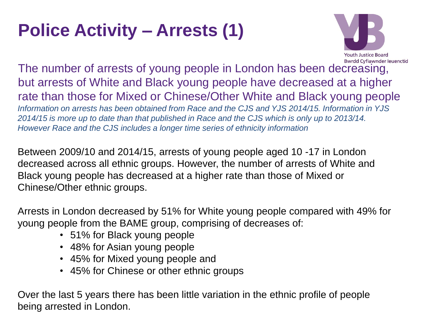# **Police Activity – Arrests (1)**



The number of arrests of young people in London has been decreasing, but arrests of White and Black young people have decreased at a higher rate than those for Mixed or Chinese/Other White and Black young people *Information on arrests has been obtained from Race and the CJS and YJS 2014/15. Information in YJS 2014/15 is more up to date than that published in Race and the CJS which is only up to 2013/14. However Race and the CJS includes a longer time series of ethnicity information*

Between 2009/10 and 2014/15, arrests of young people aged 10 -17 in London decreased across all ethnic groups. However, the number of arrests of White and Black young people has decreased at a higher rate than those of Mixed or Chinese/Other ethnic groups.

Arrests in London decreased by 51% for White young people compared with 49% for young people from the BAME group, comprising of decreases of:

- 51% for Black young people
- 48% for Asian young people
- 45% for Mixed young people and
- 45% for Chinese or other ethnic groups

Over the last 5 years there has been little variation in the ethnic profile of people being arrested in London.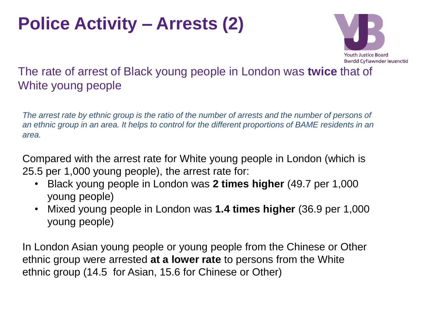### **Police Activity – Arrests (2)**



### The rate of arrest of Black young people in London was **twice** that of White young people

*The arrest rate by ethnic group is the ratio of the number of arrests and the number of persons of an ethnic group in an area. It helps to control for the different proportions of BAME residents in an area.* 

Compared with the arrest rate for White young people in London (which is 25.5 per 1,000 young people), the arrest rate for:

- Black young people in London was **2 times higher** (49.7 per 1,000 young people)
- Mixed young people in London was **1.4 times higher** (36.9 per 1,000 young people)

In London Asian young people or young people from the Chinese or Other ethnic group were arrested **at a lower rate** to persons from the White ethnic group (14.5 for Asian, 15.6 for Chinese or Other)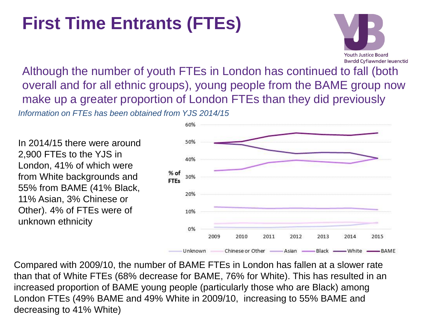## **First Time Entrants (FTEs)**



Although the number of youth FTEs in London has continued to fall (both overall and for all ethnic groups), young people from the BAME group now make up a greater proportion of London FTEs than they did previously *Information on FTEs has been obtained from YJS 2014/15*

In 2014/15 there were around 2,900 FTEs to the YJS in London, 41% of which were from White backgrounds and 55% from BAME (41% Black, 11% Asian, 3% Chinese or Other). 4% of FTEs were of unknown ethnicity



Compared with 2009/10, the number of BAME FTEs in London has fallen at a slower rate than that of White FTEs (68% decrease for BAME, 76% for White). This has resulted in an increased proportion of BAME young people (particularly those who are Black) among London FTEs (49% BAME and 49% White in 2009/10, increasing to 55% BAME and decreasing to 41% White)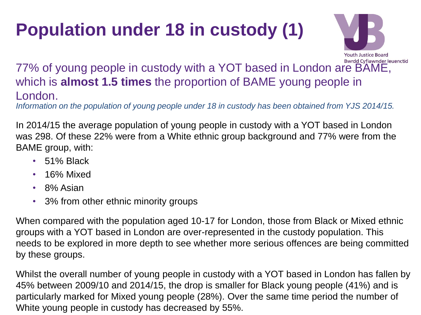# **Population under 18 in custody (1)**



#### **77% of young people in custody with a YOT based in London are BAME**, which is **almost 1.5 times** the proportion of BAME young people in London.

*Information on the population of young people under 18 in custody has been obtained from YJS 2014/15.*

In 2014/15 the average population of young people in custody with a YOT based in London was 298. Of these 22% were from a White ethnic group background and 77% were from the BAME group, with:

- 51% Black
- 16% Mixed
- 8% Asian
- 3% from other ethnic minority groups

When compared with the population aged 10-17 for London, those from Black or Mixed ethnic groups with a YOT based in London are over-represented in the custody population. This needs to be explored in more depth to see whether more serious offences are being committed by these groups.

Whilst the overall number of young people in custody with a YOT based in London has fallen by 45% between 2009/10 and 2014/15, the drop is smaller for Black young people (41%) and is particularly marked for Mixed young people (28%). Over the same time period the number of White young people in custody has decreased by 55%.